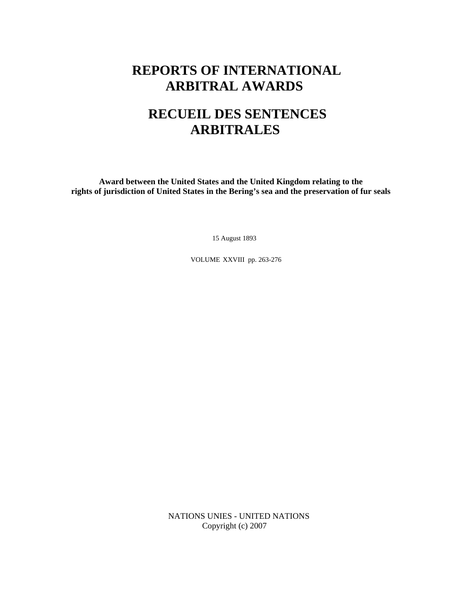# **REPORTS OF INTERNATIONAL ARBITRAL AWARDS**

# **RECUEIL DES SENTENCES ARBITRALES**

**Award between the United States and the United Kingdom relating to the rights of jurisdiction of United States in the Bering's sea and the preservation of fur seals** 

15 August 1893

VOLUME XXVIII pp. 263-276

NATIONS UNIES - UNITED NATIONS Copyright (c) 2007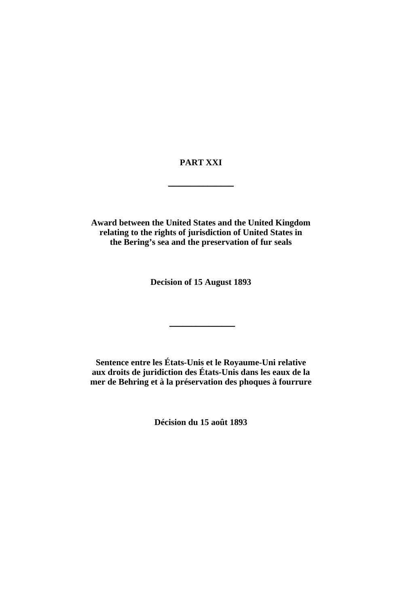# **PART XXI**

\_\_\_\_\_\_\_\_\_\_\_\_\_\_\_

**Award between the United States and the United Kingdom relating to the rights of jurisdiction of United States in the Bering's sea and the preservation of fur seals** 

**Decision of 15 August 1893** 

\_\_\_\_\_\_\_\_\_\_\_\_\_\_\_

**Sentence entre les États-Unis et le Royaume-Uni relative aux droits de juridiction des États-Unis dans les eaux de la mer de Behring et à la préservation des phoques à fourrure** 

**Décision du 15 août 1893**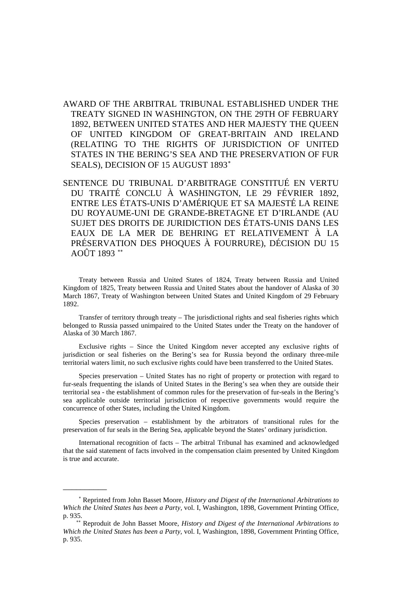AWARD OF THE ARBITRAL TRIBUNAL ESTABLISHED UNDER THE TREATY SIGNED IN WASHINGTON, ON THE 29TH OF FEBRUARY 1892, BETWEEN UNITED STATES AND HER MAJESTY THE QUEEN OF UNITED KINGDOM OF GREAT-BRITAIN AND IRELAND (RELATING TO THE RIGHTS OF JURISDICTION OF UNITED STATES IN THE BERING'S SEA AND THE PRESERVATION OF FUR SEALS), DECISION OF 15 AUGUST 1893[∗](#page-3-0)

SENTENCE DU TRIBUNAL D'ARBITRAGE CONSTITUÉ EN VERTU DU TRAITÉ CONCLU À WASHINGTON, LE 29 FÉVRIER 1892, ENTRE LES ÉTATS-UNIS D'AMÉRIQUE ET SA MAJESTÉ LA REINE DU ROYAUME-UNI DE GRANDE-BRETAGNE ET D'IRLANDE (AU SUJET DES DROITS DE JURIDICTION DES ÉTATS-UNIS DANS LES EAUX DE LA MER DE BEHRING ET RELATIVEMENT À LA PRÉSERVATION DES PHOQUES À FOURRURE), DÉCISION DU 15 AOÛT 1893 [∗∗](#page-3-1)

Treaty between Russia and United States of 1824, Treaty between Russia and United Kingdom of 1825, Treaty between Russia and United States about the handover of Alaska of 30 March 1867, Treaty of Washington between United States and United Kingdom of 29 February 1892.

Transfer of territory through treaty – The jurisdictional rights and seal fisheries rights which belonged to Russia passed unimpaired to the United States under the Treaty on the handover of Alaska of 30 March 1867.

Exclusive rights – Since the United Kingdom never accepted any exclusive rights of jurisdiction or seal fisheries on the Bering's sea for Russia beyond the ordinary three-mile territorial waters limit, no such exclusive rights could have been transferred to the United States.

Species preservation – United States has no right of property or protection with regard to fur-seals frequenting the islands of United States in the Bering's sea when they are outside their territorial sea - the establishment of common rules for the preservation of fur-seals in the Bering's sea applicable outside territorial jurisdiction of respective governments would require the concurrence of other States, including the United Kingdom.

Species preservation – establishment by the arbitrators of transitional rules for the preservation of fur seals in the Bering Sea, applicable beyond the States' ordinary jurisdiction.

International recognition of facts – The arbitral Tribunal has examined and acknowledged that the said statement of facts involved in the compensation claim presented by United Kingdom is true and accurate.

\_\_\_\_\_\_\_\_\_\_

<span id="page-3-0"></span><sup>∗</sup> Reprinted from John Basset Moore, *History and Digest of the International Arbitrations to Which the United States has been a Party,* vol. I, Washington, 1898, Government Printing Office, p. 935. ∗∗ Reproduit de John Basset Moore, *History and Digest of the International Arbitrations to* 

<span id="page-3-1"></span>*Which the United States has been a Party,* vol. I, Washington, 1898, Government Printing Office, p. 935.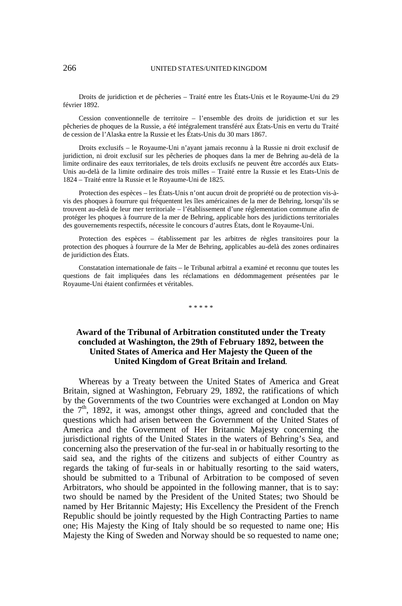Droits de juridiction et de pêcheries – Traité entre les États-Unis et le Royaume-Uni du 29 février 1892.

Cession conventionnelle de territoire – l'ensemble des droits de juridiction et sur les pêcheries de phoques de la Russie, a été intégralement transféré aux États-Unis en vertu du Traité de cession de l'Alaska entre la Russie et les États-Unis du 30 mars 1867.

Droits exclusifs – le Royaume-Uni n'ayant jamais reconnu à la Russie ni droit exclusif de juridiction, ni droit exclusif sur les pêcheries de phoques dans la mer de Behring au-delà de la limite ordinaire des eaux territoriales, de tels droits exclusifs ne peuvent être accordés aux Etats-Unis au-delà de la limite ordinaire des trois milles – Traité entre la Russie et les Etats-Unis de 1824 – Traité entre la Russie et le Royaume-Uni de 1825.

Protection des espèces – les États-Unis n'ont aucun droit de propriété ou de protection vis-àvis des phoques à fourrure qui fréquentent les îles américaines de la mer de Behring, lorsqu'ils se trouvent au-delà de leur mer territoriale – l'établissement d'une réglementation commune afin de protéger les phoques à fourrure de la mer de Behring, applicable hors des juridictions territoriales des gouvernements respectifs, nécessite le concours d'autres États, dont le Royaume-Uni.

Protection des espèces – établissement par les arbitres de règles transitoires pour la protection des phoques à fourrure de la Mer de Behring, applicables au-delà des zones ordinaires de juridiction des États.

Constatation internationale de faits – le Tribunal arbitral a examiné et reconnu que toutes les questions de fait impliquées dans les réclamations en dédommagement présentées par le Royaume-Uni étaient confirmées et véritables.

\* \* \* \* \*

### **Award of the Tribunal of Arbitration constituted under the Treaty concluded at Washington, the 29th of February 1892, between the United States of America and Her Majesty the Queen of the United Kingdom of Great Britain and Ireland***.*

Whereas by a Treaty between the United States of America and Great Britain, signed at Washington, February 29, 1892, the ratifications of which by the Governments of the two Countries were exchanged at London on May the  $7<sup>th</sup>$ , 1892, it was, amongst other things, agreed and concluded that the questions which had arisen between the Government of the United States of America and the Government of Her Britannic Majesty concerning the jurisdictional rights of the United States in the waters of Behring's Sea, and concerning also the preservation of the fur-seal in or habitually resorting to the said sea, and the rights of the citizens and subjects of either Country as regards the taking of fur-seals in or habitually resorting to the said waters, should be submitted to a Tribunal of Arbitration to be composed of seven Arbitrators, who should be appointed in the following manner, that is to say: two should be named by the President of the United States; two Should be named by Her Britannic Majesty; His Excellency the President of the French Republic should be jointly requested by the High Contracting Parties to name one; His Majesty the King of Italy should be so requested to name one; His Majesty the King of Sweden and Norway should be so requested to name one;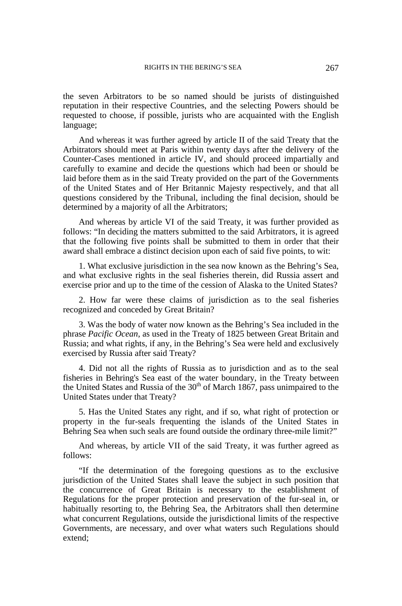the seven Arbitrators to be so named should be jurists of distinguished reputation in their respective Countries, and the selecting Powers should be requested to choose, if possible, jurists who are acquainted with the English language;

And whereas it was further agreed by article II of the said Treaty that the Arbitrators should meet at Paris within twenty days after the delivery of the Counter-Cases mentioned in article IV, and should proceed impartially and carefully to examine and decide the questions which had been or should be laid before them as in the said Treaty provided on the part of the Governments of the United States and of Her Britannic Majesty respectively, and that all questions considered by the Tribunal, including the final decision, should be determined by a majority of all the Arbitrators;

And whereas by article VI of the said Treaty, it was further provided as follows: "In deciding the matters submitted to the said Arbitrators, it is agreed that the following five points shall be submitted to them in order that their award shall embrace a distinct decision upon each of said five points, to wit:

1. What exclusive jurisdiction in the sea now known as the Behring's Sea, and what exclusive rights in the seal fisheries therein, did Russia assert and exercise prior and up to the time of the cession of Alaska to the United States?

2. How far were these claims of jurisdiction as to the seal fisheries recognized and conceded by Great Britain?

3. Was the body of water now known as the Behring's Sea included in the phrase *Pacific Ocean*, as used in the Treaty of 1825 between Great Britain and Russia; and what rights, if any, in the Behring's Sea were held and exclusively exercised by Russia after said Treaty?

4. Did not all the rights of Russia as to jurisdiction and as to the seal fisheries in Behring's Sea east of the water boundary, in the Treaty between the United States and Russia of the  $30<sup>th</sup>$  of March 1867, pass unimpaired to the United States under that Treaty?

5. Has the United States any right, and if so, what right of protection or property in the fur-seals frequenting the islands of the United States in Behring Sea when such seals are found outside the ordinary three-mile limit?"

And whereas, by article VII of the said Treaty, it was further agreed as follows:

"If the determination of the foregoing questions as to the exclusive jurisdiction of the United States shall leave the subject in such position that the concurrence of Great Britain is necessary to the establishment of Regulations for the proper protection and preservation of the fur-seal in, or habitually resorting to, the Behring Sea, the Arbitrators shall then determine what concurrent Regulations, outside the jurisdictional limits of the respective Governments, are necessary, and over what waters such Regulations should extend;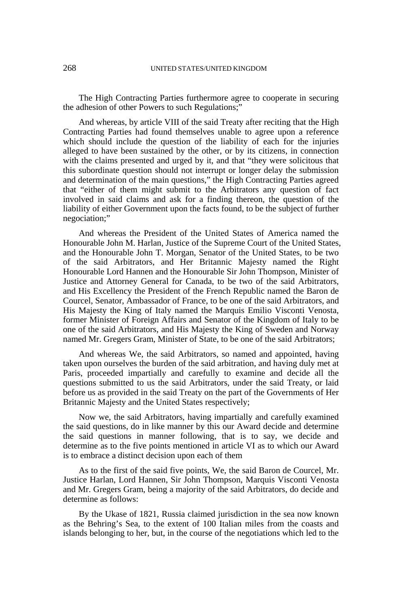The High Contracting Parties furthermore agree to cooperate in securing the adhesion of other Powers to such Regulations;"

And whereas, by article VIII of the said Treaty after reciting that the High Contracting Parties had found themselves unable to agree upon a reference which should include the question of the liability of each for the injuries alleged to have been sustained by the other, or by its citizens, in connection with the claims presented and urged by it, and that "they were solicitous that this subordinate question should not interrupt or longer delay the submission and determination of the main questions," the High Contracting Parties agreed that "either of them might submit to the Arbitrators any question of fact involved in said claims and ask for a finding thereon, the question of the liability of either Government upon the facts found, to be the subject of further negociation;"

And whereas the President of the United States of America named the Honourable John M. Harlan, Justice of the Supreme Court of the United States, and the Honourable John T. Morgan, Senator of the United States, to be two of the said Arbitrators, and Her Britannic Majesty named the Right Honourable Lord Hannen and the Honourable Sir John Thompson, Minister of Justice and Attorney General for Canada, to be two of the said Arbitrators, and His Excellency the President of the French Republic named the Baron de Courcel, Senator, Ambassador of France, to be one of the said Arbitrators, and His Majesty the King of Italy named the Marquis Emilio Visconti Venosta, former Minister of Foreign Affairs and Senator of the Kingdom of Italy to be one of the said Arbitrators, and His Majesty the King of Sweden and Norway named Mr. Gregers Gram, Minister of State, to be one of the said Arbitrators;

And whereas We, the said Arbitrators, so named and appointed, having taken upon ourselves the burden of the said arbitration, and having duly met at Paris, proceeded impartially and carefully to examine and decide all the questions submitted to us the said Arbitrators, under the said Treaty, or laid before us as provided in the said Treaty on the part of the Governments of Her Britannic Majesty and the United States respectively;

Now we, the said Arbitrators, having impartially and carefully examined the said questions, do in like manner by this our Award decide and determine the said questions in manner following, that is to say, we decide and determine as to the five points mentioned in article VI as to which our Award is to embrace a distinct decision upon each of them

As to the first of the said five points, We, the said Baron de Courcel, Mr. Justice Harlan, Lord Hannen, Sir John Thompson, Marquis Visconti Venosta and Mr. Gregers Gram, being a majority of the said Arbitrators, do decide and determine as follows:

By the Ukase of 1821, Russia claimed jurisdiction in the sea now known as the Behring's Sea, to the extent of 100 Italian miles from the coasts and islands belonging to her, but, in the course of the negotiations which led to the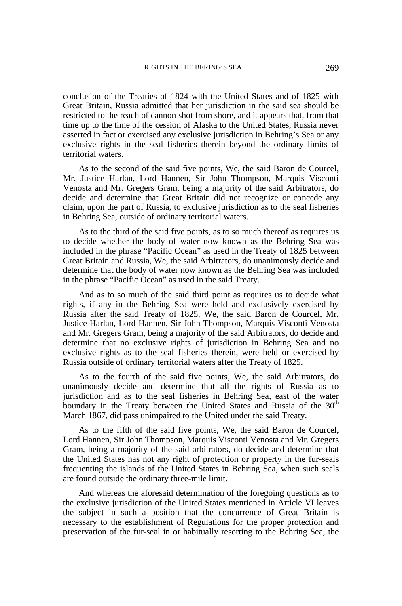conclusion of the Treaties of 1824 with the United States and of 1825 with Great Britain, Russia admitted that her jurisdiction in the said sea should be restricted to the reach of cannon shot from shore, and it appears that, from that time up to the time of the cession of Alaska to the United States, Russia never asserted in fact or exercised any exclusive jurisdiction in Behring's Sea or any exclusive rights in the seal fisheries therein beyond the ordinary limits of territorial waters.

As to the second of the said five points, We, the said Baron de Courcel, Mr. Justice Harlan, Lord Hannen, Sir John Thompson, Marquis Visconti Venosta and Mr. Gregers Gram, being a majority of the said Arbitrators, do decide and determine that Great Britain did not recognize or concede any claim, upon the part of Russia, to exclusive jurisdiction as to the seal fisheries in Behring Sea, outside of ordinary territorial waters.

As to the third of the said five points, as to so much thereof as requires us to decide whether the body of water now known as the Behring Sea was included in the phrase "Pacific Ocean" as used in the Treaty of 1825 between Great Britain and Russia, We, the said Arbitrators, do unanimously decide and determine that the body of water now known as the Behring Sea was included in the phrase "Pacific Ocean" as used in the said Treaty.

And as to so much of the said third point as requires us to decide what rights, if any in the Behring Sea were held and exclusively exercised by Russia after the said Treaty of 1825, We, the said Baron de Courcel, Mr. Justice Harlan, Lord Hannen, Sir John Thompson, Marquis Visconti Venosta and Mr. Gregers Gram, being a majority of the said Arbitrators, do decide and determine that no exclusive rights of jurisdiction in Behring Sea and no exclusive rights as to the seal fisheries therein, were held or exercised by Russia outside of ordinary territorial waters after the Treaty of 1825.

As to the fourth of the said five points, We, the said Arbitrators, do unanimously decide and determine that all the rights of Russia as to jurisdiction and as to the seal fisheries in Behring Sea, east of the water boundary in the Treaty between the United States and Russia of the  $30<sup>th</sup>$ March 1867, did pass unimpaired to the United under the said Treaty.

As to the fifth of the said five points, We, the said Baron de Courcel, Lord Hannen, Sir John Thompson, Marquis Visconti Venosta and Mr. Gregers Gram, being a majority of the said arbitrators, do decide and determine that the United States has not any right of protection or property in the fur-seals frequenting the islands of the United States in Behring Sea, when such seals are found outside the ordinary three-mile limit.

And whereas the aforesaid determination of the foregoing questions as to the exclusive jurisdiction of the United States mentioned in Article VI leaves the subject in such a position that the concurrence of Great Britain is necessary to the establishment of Regulations for the proper protection and preservation of the fur-seal in or habitually resorting to the Behring Sea, the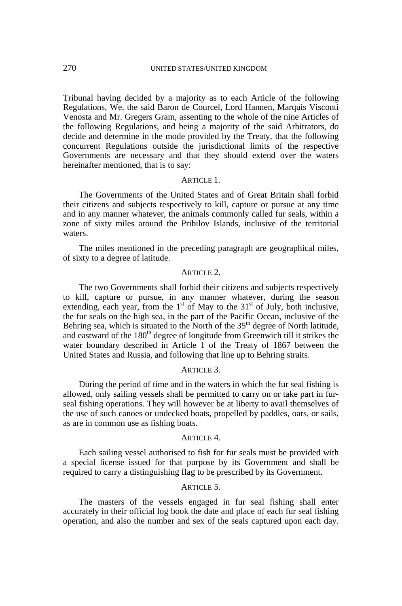Tribunal having decided by a majority as to each Article of the following Regulations, We, the said Baron de Courcel, Lord Hannen, Marquis Visconti Venosta and Mr. Gregers Gram, assenting to the whole of the nine Articles of the following Regulations, and being a majority of the said Arbitrators, do decide and determine in the mode provided by the Treaty, that the following concurrent Regulations outside the jurisdictional limits of the respective Governments are necessary and that they should extend over the waters hereinafter mentioned, that is to say:

#### ARTICLE 1.

The Governments of the United States and of Great Britain shall forbid their citizens and subjects respectively to kill, capture or pursue at any time and in any manner whatever, the animals commonly called fur seals, within a zone of sixty miles around the Pribilov Islands, inclusive of the territorial waters.

The miles mentioned in the preceding paragraph are geographical miles, of sixty to a degree of latitude.

#### ARTICLE 2.

The two Governments shall forbid their citizens and subjects respectively to kill, capture or pursue, in any manner whatever, during the season extending, each year, from the  $1<sup>st</sup>$  of May to the  $31<sup>st</sup>$  of July, both inclusive, the fur seals on the high sea, in the part of the Pacific Ocean, inclusive of the Behring sea, which is situated to the North of the  $35<sup>th</sup>$  degree of North latitude, and eastward of the  $180<sup>th</sup>$  degree of longitude from Greenwich till it strikes the water boundary described in Article 1 of the Treaty of 1867 between the United States and Russia, and following that line up to Behring straits.

#### ARTICLE 3.

During the period of time and in the waters in which the fur seal fishing is allowed, only sailing vessels shall be permitted to carry on or take part in furseal fishing operations. They will however be at liberty to avail themselves of the use of such canoes or undecked boats, propelled by paddles, oars, or sails, as are in common use as fishing boats.

#### ARTICLE 4.

Each sailing vessel authorised to fish for fur seals must be provided with a special license issued for that purpose by its Government and shall be required to carry a distinguishing flag to be prescribed by its Government.

#### ARTICLE 5.

The masters of the vessels engaged in fur seal fishing shall enter accurately in their official log book the date and place of each fur seal fishing operation, and also the number and sex of the seals captured upon each day.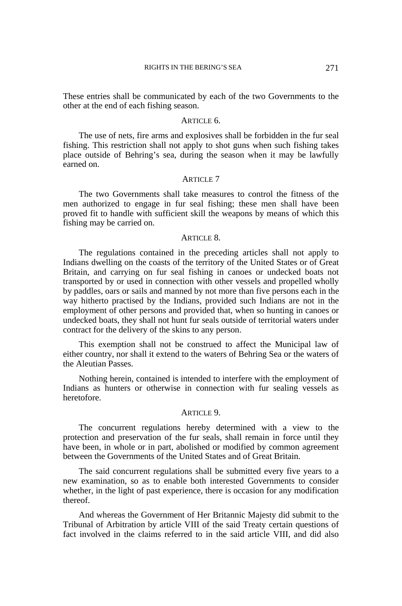These entries shall be communicated by each of the two Governments to the other at the end of each fishing season.

#### ARTICLE 6

The use of nets, fire arms and explosives shall be forbidden in the fur seal fishing. This restriction shall not apply to shot guns when such fishing takes place outside of Behring's sea, during the season when it may be lawfully earned on.

#### ARTICLE 7

The two Governments shall take measures to control the fitness of the men authorized to engage in fur seal fishing; these men shall have been proved fit to handle with sufficient skill the weapons by means of which this fishing may be carried on.

#### ARTICLE 8.

The regulations contained in the preceding articles shall not apply to Indians dwelling on the coasts of the territory of the United States or of Great Britain, and carrying on fur seal fishing in canoes or undecked boats not transported by or used in connection with other vessels and propelled wholly by paddles, oars or sails and manned by not more than five persons each in the way hitherto practised by the Indians, provided such Indians are not in the employment of other persons and provided that, when so hunting in canoes or undecked boats, they shall not hunt fur seals outside of territorial waters under contract for the delivery of the skins to any person.

This exemption shall not be construed to affect the Municipal law of either country, nor shall it extend to the waters of Behring Sea or the waters of the Aleutian Passes.

Nothing herein, contained is intended to interfere with the employment of Indians as hunters or otherwise in connection with fur sealing vessels as heretofore.

#### ARTICLE 9.

The concurrent regulations hereby determined with a view to the protection and preservation of the fur seals, shall remain in force until they have been, in whole or in part, abolished or modified by common agreement between the Governments of the United States and of Great Britain.

The said concurrent regulations shall be submitted every five years to a new examination, so as to enable both interested Governments to consider whether, in the light of past experience, there is occasion for any modification thereof.

And whereas the Government of Her Britannic Majesty did submit to the Tribunal of Arbitration by article VIII of the said Treaty certain questions of fact involved in the claims referred to in the said article VIII, and did also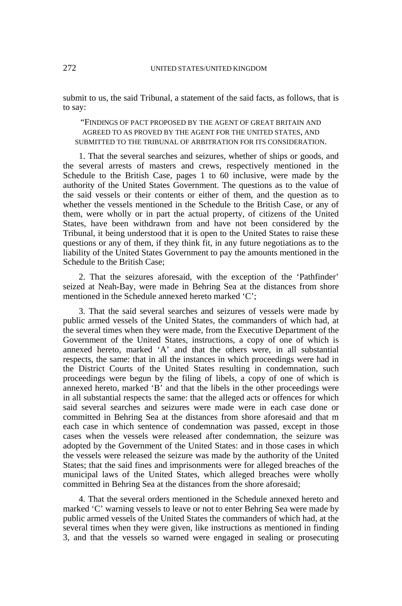submit to us, the said Tribunal, a statement of the said facts, as follows, that is to say:

### "FINDINGS OF PACT PROPOSED BY THE AGENT OF GREAT BRITAIN AND AGREED TO AS PROVED BY THE AGENT FOR THE UNITED STATES, AND SUBMITTED TO THE TRIBUNAL OF ARBITRATION FOR ITS CONSIDERATION.

1. That the several searches and seizures, whether of ships or goods, and the several arrests of masters and crews, respectively mentioned in the Schedule to the British Case, pages 1 to 60 inclusive, were made by the authority of the United States Government. The questions as to the value of the said vessels or their contents or either of them, and the question as to whether the vessels mentioned in the Schedule to the British Case, or any of them, were wholly or in part the actual property, of citizens of the United States, have been withdrawn from and have not been considered by the Tribunal, it being understood that it is open to the United States to raise these questions or any of them, if they think fit, in any future negotiations as to the liability of the United States Government to pay the amounts mentioned in the Schedule to the British Case;

2. That the seizures aforesaid, with the exception of the 'Pathfinder' seized at Neah-Bay, were made in Behring Sea at the distances from shore mentioned in the Schedule annexed hereto marked 'C';

3. That the said several searches and seizures of vessels were made by public armed vessels of the United States, the commanders of which had, at the several times when they were made, from the Executive Department of the Government of the United States, instructions, a copy of one of which is annexed hereto, marked 'A' and that the others were, in all substantial respects, the same: that in all the instances in which proceedings were had in the District Courts of the United States resulting in condemnation, such proceedings were begun by the filing of libels, a copy of one of which is annexed hereto, marked 'B' and that the libels in the other proceedings were in all substantial respects the same: that the alleged acts or offences for which said several searches and seizures were made were in each case done or committed in Behring Sea at the distances from shore aforesaid and that m each case in which sentence of condemnation was passed, except in those cases when the vessels were released after condemnation, the seizure was adopted by the Government of the United States: and in those cases in which the vessels were released the seizure was made by the authority of the United States; that the said fines and imprisonments were for alleged breaches of the municipal laws of the United States, which alleged breaches were wholly committed in Behring Sea at the distances from the shore aforesaid;

4. That the several orders mentioned in the Schedule annexed hereto and marked 'C' warning vessels to leave or not to enter Behring Sea were made by public armed vessels of the United States the commanders of which had, at the several times when they were given, like instructions as mentioned in finding 3, and that the vessels so warned were engaged in sealing or prosecuting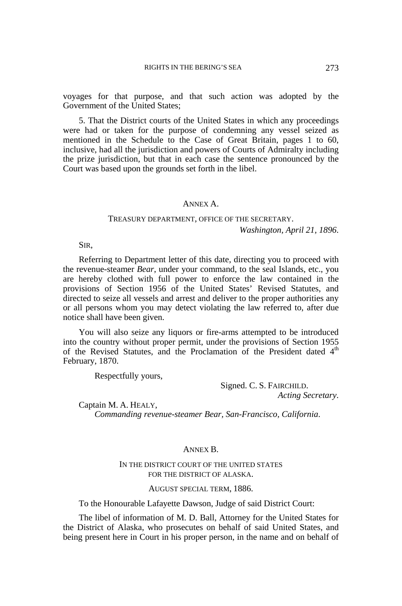voyages for that purpose, and that such action was adopted by the Government of the United States;

5. That the District courts of the United States in which any proceedings were had or taken for the purpose of condemning any vessel seized as mentioned in the Schedule to the Case of Great Britain, pages 1 to 60, inclusive, had all the jurisdiction and powers of Courts of Admiralty including the prize jurisdiction, but that in each case the sentence pronounced by the Court was based upon the grounds set forth in the libel.

#### ANNEX A.

# TREASURY DEPARTMENT, OFFICE OF THE SECRETARY.

*Washington, April 21, 1896*.

SIR,

Referring to Department letter of this date, directing you to proceed with the revenue-steamer *Bear*, under your command, to the seal Islands, etc., you are hereby clothed with full power to enforce the law contained in the provisions of Section 1956 of the United States' Revised Statutes, and directed to seize all vessels and arrest and deliver to the proper authorities any or all persons whom you may detect violating the law referred to, after due notice shall have been given.

You will also seize any liquors or fire-arms attempted to be introduced into the country without proper permit, under the provisions of Section 1955 of the Revised Statutes, and the Proclamation of the President dated 4<sup>th</sup> February, 1870.

Respectfully yours,

 Signed. C. S. FAIRCHILD. *Acting Secretary*.

Captain M. A. HEALY, *Commanding revenue-steamer Bear, San-Francisco, California*.

#### ANNEX B.

#### IN THE DISTRICT COURT OF THE UNITED STATES FOR THE DISTRICT OF ALASKA.

#### AUGUST SPECIAL TERM, 1886.

To the Honourable Lafayette Dawson, Judge of said District Court:

The libel of information of M. D. Ball, Attorney for the United States for the District of Alaska, who prosecutes on behalf of said United States, and being present here in Court in his proper person, in the name and on behalf of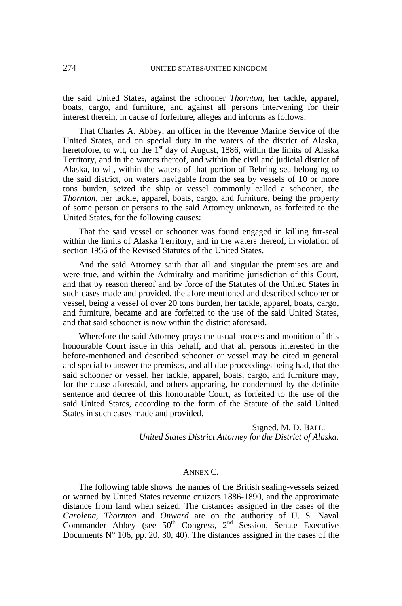the said United States, against the schooner *Thornton*, her tackle, apparel, boats, cargo, and furniture, and against all persons intervening for their interest therein, in cause of forfeiture, alleges and informs as follows:

That Charles A. Abbey, an officer in the Revenue Marine Service of the United States, and on special duty in the waters of the district of Alaska, heretofore, to wit, on the  $1<sup>st</sup>$  day of August, 1886, within the limits of Alaska Territory, and in the waters thereof, and within the civil and judicial district of Alaska, to wit, within the waters of that portion of Behring sea belonging to the said district, on waters navigable from the sea by vessels of 10 or more tons burden, seized the ship or vessel commonly called a schooner, the *Thornton*, her tackle, apparel, boats, cargo, and furniture, being the property of some person or persons to the said Attorney unknown, as forfeited to the United States, for the following causes:

That the said vessel or schooner was found engaged in killing fur-seal within the limits of Alaska Territory, and in the waters thereof, in violation of section 1956 of the Revised Statutes of the United States.

And the said Attorney saith that all and singular the premises are and were true, and within the Admiralty and maritime jurisdiction of this Court, and that by reason thereof and by force of the Statutes of the United States in such cases made and provided, the afore mentioned and described schooner or vessel, being a vessel of over 20 tons burden, her tackle, apparel, boats, cargo, and furniture, became and are forfeited to the use of the said United States, and that said schooner is now within the district aforesaid.

Wherefore the said Attorney prays the usual process and monition of this honourable Court issue in this behalf, and that all persons interested in the before-mentioned and described schooner or vessel may be cited in general and special to answer the premises, and all due proceedings being had, that the said schooner or vessel, her tackle, apparel, boats, cargo, and furniture may, for the cause aforesaid, and others appearing, be condemned by the definite sentence and decree of this honourable Court, as forfeited to the use of the said United States, according to the form of the Statute of the said United States in such cases made and provided.

> Signed. M. D. BALL. *United States District Attorney for the District of Alaska*.

## ANNEX C.

The following table shows the names of the British sealing-vessels seized or warned by United States revenue cruizers 1886-1890, and the approximate distance from land when seized. The distances assigned in the cases of the *Carolena*, *Thornton* and *Onward* are on the authority of U. S. Naval Commander Abbey (see  $50<sup>th</sup>$  Congress,  $2<sup>nd</sup>$  Session, Senate Executive Documents  $N^{\circ}$  106, pp. 20, 30, 40). The distances assigned in the cases of the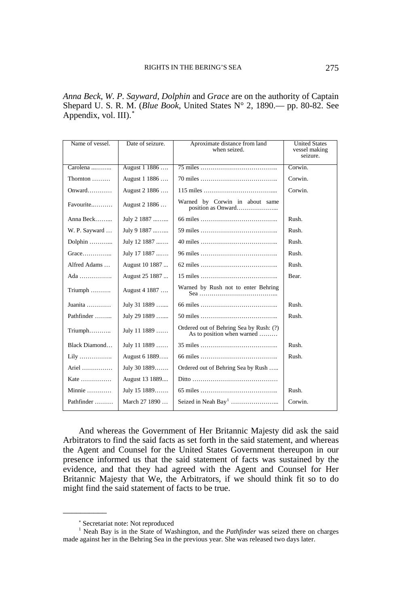*Anna Beck*, *W. P. Sayward*, *Dolphin* and *Grace* are on the authority of Captain Shepard U. S. R. M. (*Blue Book*, United States N° 2, 1890.— pp. 80-82. See Appendix, vol. III).[∗](#page-13-0)

| Name of vessel.          | Date of seizure. | Aproximate distance from land<br>when seized.                         | <b>United States</b><br>vessel making<br>seizure. |
|--------------------------|------------------|-----------------------------------------------------------------------|---------------------------------------------------|
| Carolena                 | August 1 1886    |                                                                       | Corwin.                                           |
| Thornton $\dots$         | August 1 1886    |                                                                       | Corwin.                                           |
|                          | August 2 1886    |                                                                       | Corwin.                                           |
| Favourite                | August 2 1886    | Warned by Corwin in about same                                        |                                                   |
| Anna Beck                | July 2 1887      |                                                                       | Rush.                                             |
| W. P. Sayward            | July 9 1887      |                                                                       | Rush.                                             |
| Dolphin                  | July 12 1887     |                                                                       | Rush.                                             |
|                          | July 17 1887     |                                                                       | Rush.                                             |
| Alfred Adams             | August 10 1887   |                                                                       | Rush.                                             |
| Ada                      | August 25 1887   |                                                                       | Bear.                                             |
| Triumph                  | August 4 1887    | Warned by Rush not to enter Behring                                   |                                                   |
| Juanita                  | July 31 1889     |                                                                       | Rush.                                             |
| Pathfinder               | July 29 1889     |                                                                       | Rush.                                             |
| Triumph                  | July 11 1889     | Ordered out of Behring Sea by Rush: (?)<br>As to position when warned |                                                   |
| Black Diamond            | July 11 1889     |                                                                       | Rush.                                             |
| Lily                     | August 6 1889    |                                                                       | Rush.                                             |
| Ariel                    | July 30 1889     | Ordered out of Behring Sea by Rush                                    |                                                   |
| Kate $\dots \dots \dots$ | August 13 1889   |                                                                       |                                                   |
| $Minnie$                 | July 15 1889     |                                                                       | Rush.                                             |
| Pathfinder               | March 27 1890    |                                                                       | Corwin.                                           |

And whereas the Government of Her Britannic Majesty did ask the said Arbitrators to find the said facts as set forth in the said statement, and whereas the Agent and Counsel for the United States Government thereupon in our presence informed us that the said statement of facts was sustained by the evidence, and that they had agreed with the Agent and Counsel for Her Britannic Majesty that We, the Arbitrators, if we should think fit so to do might find the said statement of facts to be true.

\_\_\_\_\_\_\_\_\_\_

<sup>∗</sup> Secretariat note: Not reproduced

<span id="page-13-1"></span><span id="page-13-0"></span><sup>&</sup>lt;sup>1</sup> Neah Bay is in the State of Washington, and the *Pathfinder* was seized there on charges made against her in the Behring Sea in the previous year. She was released two days later.